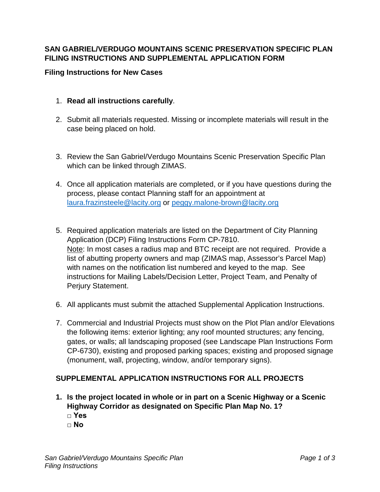## **SAN GABRIEL/VERDUGO MOUNTAINS SCENIC PRESERVATION SPECIFIC PLAN FILING INSTRUCTIONS AND SUPPLEMENTAL APPLICATION FORM**

## **Filing Instructions for New Cases**

- 1. **Read all instructions carefully**.
- 2. Submit all materials requested. Missing or incomplete materials will result in the case being placed on hold.
- 3. Review the San Gabriel/Verdugo Mountains Scenic Preservation Specific Plan which can be linked through ZIMAS.
- 4. Once all application materials are completed, or if you have questions during the process, please contact Planning staff for an appointment at [laura.frazinsteele@lacity.org](mailto:laura.frazinsteele@lacity.org) or [peggy.malone-brown@lacity.org](mailto:peggy.malone-brown@lacity.org)
- 5. Required application materials are listed on the Department of City Planning Application (DCP) Filing Instructions Form CP-7810. Note: In most cases a radius map and BTC receipt are not required. Provide a list of abutting property owners and map (ZIMAS map, Assessor's Parcel Map) with names on the notification list numbered and keyed to the map. See instructions for Mailing Labels/Decision Letter, Project Team, and Penalty of Perjury Statement.
- 6. All applicants must submit the attached Supplemental Application Instructions.
- 7. Commercial and Industrial Projects must show on the Plot Plan and/or Elevations the following items: exterior lighting; any roof mounted structures; any fencing, gates, or walls; all landscaping proposed (see Landscape Plan Instructions Form CP-6730), existing and proposed parking spaces; existing and proposed signage (monument, wall, projecting, window, and/or temporary signs).

## **SUPPLEMENTAL APPLICATION INSTRUCTIONS FOR ALL PROJECTS**

- **1. Is the project located in whole or in part on a Scenic Highway or a Scenic Highway Corridor as designated on Specific Plan Map No. 1? □ Yes**
	- **□ No**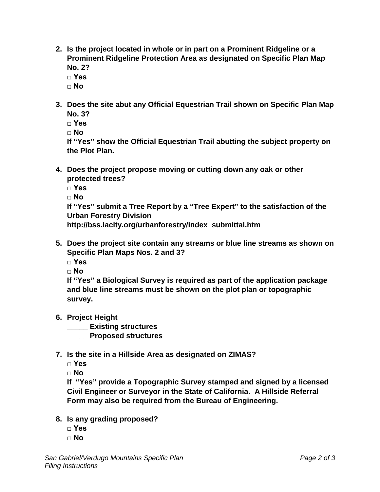- **2. Is the project located in whole or in part on a Prominent Ridgeline or a Prominent Ridgeline Protection Area as designated on Specific Plan Map No. 2?**
	- **□ Yes**
	- **□ No**
- **3. Does the site abut any Official Equestrian Trail shown on Specific Plan Map No. 3?**
	- **□ Yes**

**□ No**

**If "Yes" show the Official Equestrian Trail abutting the subject property on the Plot Plan.**

- **4. Does the project propose moving or cutting down any oak or other protected trees?**
	- **□ Yes**
	- **□ No**

**If "Yes" submit a Tree Report by a "Tree Expert" to the satisfaction of the Urban Forestry Division** 

**http://bss.lacity.org/urbanforestry/index\_submittal.htm**

- **5. Does the project site contain any streams or blue line streams as shown on Specific Plan Maps Nos. 2 and 3?**
	- **□ Yes**
	- **□ No**

**If "Yes" a Biological Survey is required as part of the application package and blue line streams must be shown on the plot plan or topographic survey.**

- **6. Project Height**
	- **\_\_\_\_\_ Existing structures**

**\_\_\_\_\_ Proposed structures**

**7. Is the site in a Hillside Area as designated on ZIMAS?**

**□ Yes**

**□ No**

**If "Yes" provide a Topographic Survey stamped and signed by a licensed Civil Engineer or Surveyor in the State of California. A Hillside Referral Form may also be required from the Bureau of Engineering.**

- **8. Is any grading proposed?**
	- **□ Yes**
	- **□ No**